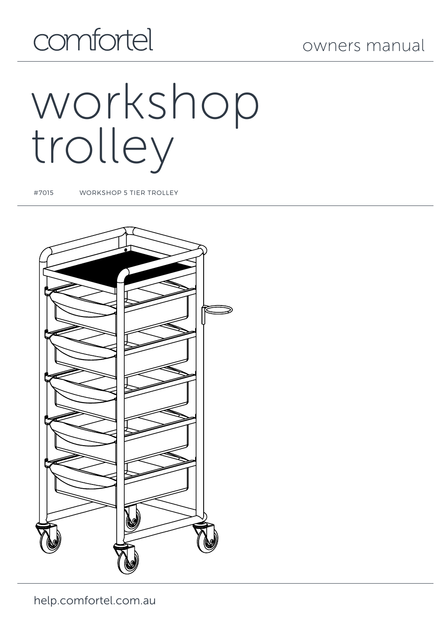## comfortel

# workshop trolley

#7015 WORKSHOP 5 TIER TROLLEY